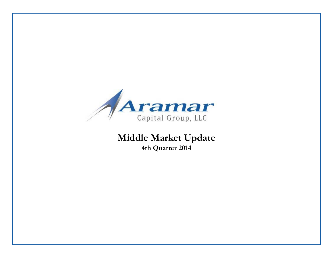

## **Middle Market Update 4th Quarter 2014**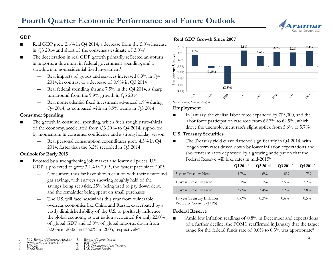

- ■ Real GDP grew 2.6% in Q4 2014, a decrease from the 5.0% increase in Q3 2014 and short of the consensus estimate of 3.0%<sup>1</sup>
- ■ The deceleration in real GDP growth primarily reflected an upturn in imports, <sup>a</sup> downturn in federal government spending, and <sup>a</sup>
	- **Performance CONSTREET SPENDING SET OF THE CONSUMINDENT SPENDING SURFACE SET OF THE CONSUMING SET OF THE CONSUMING SURFACE 2014, in contrast to a decrease of 0.9% in Q3 2014** ― Real imports of goods and services increased 8.9% in Q4 2014, in contrast to a decrease of 0.9% in Q3 2014
	- Real federal spending shrunk 7.5% in the Q4 2014, a sharp turnaround from the 9.9% growth in Q3 2014
	- ― Real nonresidential fixed investment advanced 1.9% during Q4 2014, as compared with an 8.9% bump in Q3 2014

### **Consumer Spending**

- ■ The growth in consumer spending, which fuels roughly two-thirds of the economy accelerated from Q3 2014 to Q4 2014 supported by momentum in consumer confidence and a strong holiday season<sup>1</sup>
	- Real personal consumption expenditures grew 4.3% in Q4 2014, faster than the 3.2% recorded in Q3 2014

### **Outlook for Early 2015**

- ■■ Boosted by a strengthening job market and lower oil prices, U.S. GDP is projected to grow 3.2% in 2015, the fastest pace since 2005<sup>2</sup>
	- Consumers thus far have shown caution with their newfound gas savings, with surveys showing roughly half of the savings being set aside, 25% being used to pay down debt, and the remainder being spent on small purchases $^3$
	- The U.S. will face headwinds this year from vulnerable overseas economies like China and Russia, exacerbated by a vastly diminished ability of the U.S. to positively influence the global economy, as our nation accounted for only 22.0% of global GDP and 13.0% of global imports, down from 32.0% in 2002 and 16.0% in 2005, respectively4

# *1. U.S. Bureau of Economic Analysis 2. PricewaterhouseCoopers LLC 3. Visa Inc.*



*4. World Bank*

*7. U.S. Department of the Treasury 8. U.S. Federal Reserve*

### **Real GDP Growth Since 2007 GDP**



*Source: Bureau of Economic Analysis.*

### **Employment**

■ In January, the civilian labor force expanded by 703,000, and the labor force participation rate rose from 62.7% to 62.9%, which drove the unemployment rate's slight uptick from 5.6% to 5.7%<sup>5</sup>

### **U.S. Treasury Securities**

■ The Treasury yield curve flattened significantly in Q4 2014, with longer-term rates driven down by lower inflation expectations and shorter-term rates depressed by a growing anticipation that the Federal Reserve will hike rates in mid-20156

|                                                         | Q1 2014 <sup>7</sup> | O <sub>2</sub> 2014 <sup>7</sup> | O3 2014 <sup>7</sup> | Q4 20147 |
|---------------------------------------------------------|----------------------|----------------------------------|----------------------|----------|
| 5-year Treasury Note                                    | $1.7\%$              | $1.6\%$                          | $1.8\%$              | $1.7\%$  |
| 10-year Treasury Note                                   | $2.7\%$              | $2.5\%$                          | $2.5\%$              | $2.2\%$  |
| 30-year Treasury Note                                   | $3.6\%$              | $3.4\%$                          | $3.2\%$              | $2.8\%$  |
| 10-year Treasury Inflation<br>Protected Security (TIPS) | $0.6\%$              | $0.3\%$                          | $0.6\%$              | $0.5\%$  |

### **Federal Reserve**

■ Amid low inflation readings of 0.8% in December and expectations of <sup>a</sup> further decline, the FOMC reaffirmed in January that the target range for the federal funds rate of  $0.0\%$  to  $0.3\%$  was appropriate<sup>8</sup>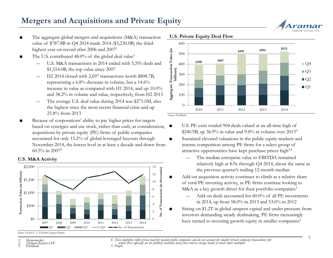## **Mergers and Acquisitions and Private Equity**

- ■ The aggregate global mergers and acquisitions (M&A) transaction value of \$787.8B in Q4 2014 made 2014 (\$3,230.0B) the thirdhighest year on record after 2006 and 2007<sup>1</sup>
- ■The U.S. contributed 48.0% of the global deal value<sup>1</sup>
	- $-$  U.S. M&A transactions in 2014 ended with 5,591 deals and  $\epsilon_1$  400 \$1,514.0B, the top value since 2007
	- H2 2014 closed with 2,697 transactions worth \$808.7B, representing a 6.8% decrease in volume, but a 14.6% increase in value as compared with H1 2014, and up 10.0% and 38.2% in volume and value, respectively, from H2 2013  $\frac{1}{20}$  100
	- ― The average U.S. deal value during 2014 was \$271.0M, also the highest since the most recent financial crisis and up 25.8% from 2013
- ■ Because of corporations' ability to pay higher prices for targets based on synergies and use stock, rather than cash, as consideration, acquisitions by private equity (PE) firms of public companies accounted for only 15.2% of global leveraged buyouts through November 2014, the lowest level in at least a decade and down from 60.5% in 2007<sup>2</sup>

#### **U.S. M&A Activit y**



*Source: FactSet U.S. Flashwire January Report.* 



02010 2011 2012 2013 2014*Source: PitchBook.*■ U.S. PE exits totaled 904 deals valued at an all-time high of \$240.9B, up 36.9% in value and 9.8% in volume over 20133 ■ Sustained elevated valuations in the public equity markets and intense competition among PE firms for a select group of attractive opportunities have kept purchase prices high3,4

- The median enterprise value to EBITDA remained relatively high at 8.9x through Q4 2014, about the same as the previous quarter's trailing 12-month median
- Add-on acquisition activity continues to climb as a relative share of total PE investing activity, as PE firms continue looking to M&A as a key growth driver for their portfolio companies<sup>3</sup>
	- Add-on deals accounted for 60.0% of all PE investments in 2014, up from 58.0% in 2013 and 53.0% in 2012
- Sitting on \$1.2T in global unspent capital and under pressure from investors demanding steady dealmaking, PE firms increasingly have turned to investing growth equity in smaller companies<sup>5</sup>

**U.S. Private Equity Deal Flow**





4. These multiples reflect prices paid for mainly public companies and do not account for smaller private company transactions (for<br>which there typically are no publicly available data) that tend to change hands at much lo

■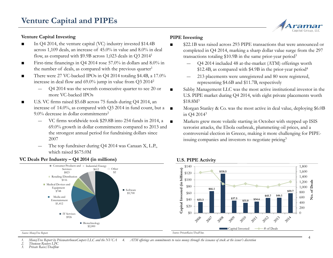### **Venture Capital Investing**

- In Q4 2014, the venture capital (VC) industry invested \$14.4B across 1,109 deals, an increase of 45.0% in value and 8.0% in deal flow, as compared with \$9.9B across 1,023 deals in Q3 20141
- ■ First-time financings in Q4 2014 rose 57.0% in dollars and 8.0% in the number of deals, as compared with the previous quarter $1$
- ■ There were 27 VC-backed IPOs in Q4 2014 totaling \$4.4B, a 17.0% increase in deal flow and 69.0% jump in value from Q3 20142
	- Q4 2014 was the seventh consecutive quarter to see 20 or more VC-backed IPOs
- ■ U.S. VC firms raised \$5.6B across 75 funds during Q4 2014, an increase of 14.0%, as compared with Q3 2014 in fund count, but a 9.0% decrease in dollar commitments2 ■
	- VC firms worldwide took \$29.8B into 254 funds in 2014, a  $69.0\%$  growth in dollar commitments compared to 2013 and the strongest annual period for fundraising dollars since 2007
	- The top fundraiser during Q4 2014 was Canaan X, L.P., which raised \$675.0M

#### Software \$5 700 Medical Devices and Equipment  $\overline{\overline{\text{S}748}}$ Retailing/Distribution \$116 Consumer Products and Industrial/Energy Services \$823  $$612$  Other \$2  $\frac{\text{y} - \text{Q4}}{2014}$  (in millions)<br>
Products and Industrial/Energy<br>
S612<br>
S66.12<br>
S66.1<br>
S66.1<br>
S66.1<br>
S66.1<br>
S66.1<br>
S66.1<br>
S66.1<br>
S66.1<br>
S66.1<br>
S66.1<br>
S66.1<br>
S66.1<br>
S66.1<br>
S68.1<br>
S68.1<br>
S68.1<br>
S68.1<br>
S68.1<br>
S68.1<br>
S68. \$60 \$80 \$100 \$120 \$140 \$5,700<br>Biotechnology \$2 000 \$2,000IT Services \$926 Media and Entertainment\$1,412 \$0 \$20 \$40 **Capital Inve s**

### **VC Deals Per Industry – Q4 2014 (in millions)**

### **PIPE Investing**

■

■

■

- \$22.1B was raised across 293 PIPE transactions that were announced or completed in Q4 2014, marking a sharp dollar value surge from the 297 transactions totaling \$10.9B in the same prior-year period3
- gs in Q4 2014 rose 57.0% in dollars and 8.0% in  $\hskip1cm -2$  Q4 2014 included 48 at-the-market (ATM) offerings worth \$12.4B, as compared with \$4.9B in the prior-year period4
	- 213 placements were unregistered and 80 were registered, representing \$4.6B and \$11.7B, respectively
	- Sabby Management LLC was the most active institutional investor in the U.S. PIPE market during Q4 2014, with eight private placements worth \$18.8M<sup>3</sup>
	- Morgan Stanley & Co. was the most active in deal value, deploying \$6.0B in Q4 20143
	- Markets grew more volatile starting in October with stepped up ISIS terrorist attacks, the Ebola outbreak, plummeting oil prices, and a controversial election in Greece, making it more challenging for PIPEissuing companies and investors to negotiate pricing3



4

Capital Group, LL

### **U.S. PIPE Activity**

*Source: MoneyTree Report.*

*1. MoneyTree Report by PricewaterhouseCoopers LLC and the NVCA 4. ATM offerings are commitments to raise money through the issuance of stock at the issuer's discretion*

*2. Thomson Reuters LPC*

*3. Private Raise/Dealflow*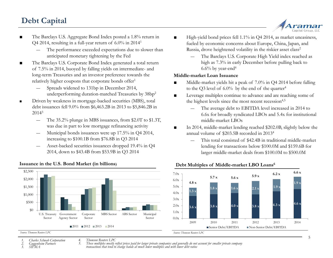# **Debt Capital**



- The Barclays U.S. Aggregate Bond Index posted a 1.8% return in Q4 2014, resulting in a full-year return of 6.0% in 2014<sup>1</sup>
	- ― The performance exceeded expectations due to slower than anticipated monetary tightening by the Fed
- ■■ The Barclays U.S. Corporate Bond Index generated a total return high as 7.3% in early December before pulling back to of 7.5% in 2014, buoyed by falling yields on intermediate- and long-term Treasuries and an investor preference towards the relatively higher coupons that corporate bonds offer<sup>1</sup>
	- ― Spreads widened to 131bp in December 2014, underperforming duration-matched Treasuries by 38bp2
- Driven by weakness in mortgage-backed securities (MBS), total debt issuances fell 9.0% from \$6,463.2B in 2013 to \$5,846.2B in 2014<sup>3</sup>
	- ― The 35.2% plunge in MBS issuances, from \$2.0T to \$1.3T, was due in part to low mortgage refinancing activity
	- Municipal bonds issuances were up 17.5% in Q4 2014, increasing to \$100.1B from \$76.8B in Q3 2014
	- Asset-backed securities issuances dropped 19.4% in Q4 2014, down to \$43.4B from \$53.9B in Q3 2014



### **Issuance in the U.S. Bond Market (in billions)**

- ■ High-yield bond prices fell 1.1% in Q4 2014, as market uneasiness, fueled by economic concerns about Europe, China, Japan, and Russia, drove heightened volatility in the riskier asset class<sup>2</sup>
	- The Barclays U.S. Corporate High Yield index reached as high as 7.3% in early December before pulling back to  $6.6\%$  by year-end<sup>4</sup>

### **Middle-market Loan Issuance**

- ■ Middle-market yields hit a peak of 7.0% in Q4 2014 before falling to the Q3 level of  $6.0\%$  by the end of the quarter<sup>4</sup>
- ■performing duration-matched Treasuries by  $38bp^2$   $\qquad \qquad$  Leverage multiples continue to advance and are reaching some of the highest levels since the most recent recession<sup>4,5</sup>
	- ― The average debt to EBITDA level increased in 2014 to 6.6x for broadly syndicated LBOs and 5.4x for institutional middle-market LBOs
	- ■■ In 2014, middle-market lending reached \$202.0B, slightly below the annual volume of \$203.5B recorded in 2013<sup>4</sup>
		- This total consisted of \$42.4B in traditional middle-market lending for transactions below \$100.0M and \$159.6B for larger middle-market deals from \$100.0M to \$500.0M



### **Debt Multiples of Middle-market LBO Loans<sup>6</sup>**

#### *Source: Thomson Reuters LPC*

*1. Charles Schwab Corporation*

*2. Guggenheim Partners*

*3. SIFMA*

*4. Thomson Reuters LPC*

5. These multiples mostly reflect prices paid for larger private companies and generally do not account for smaller private company<br>transactions that tend to change hands at much lower multiples and with lower debt ratios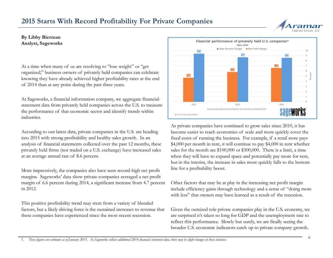### **2015 Starts With Record Profitability For Private Companies**



### **By Libby Bierman Analyst, Sageworks**

At a time when many of us are resolving to "lose weight" or "get organized," business owners of privately held companies can celebrate knowing they have already achieved higher profitability rates at the end of 2014 than at any point during the past three years.

At Sageworks, a financial information company, we aggregate financialstatement data from privately held companies across the U.S. to measure the performance of that economic sector and identify trends within industries.

According to our latest data, private companies in the U.S. are heading into 2015 with strong profitability and healthy sales growth. In an analysis of financial statements collected over the past 12 months, these privately held firms (not traded on a U.S. exchange) have increased sales at an average annual rate of 8.6 percent.

More impressively, the companies also have seen record-high net profit margins. Sageworks' data show private companies averaged a net profit margin of 6.6 percent during 2014, a significant increase from 4.7 percent in 2012.

This positive profitability trend may stem from a variety of blended factors, but a likely driving force is the sustained increases to revenue that these companies have experienced since the most recent recession.



As private companies have continued to grow sales since 2010, it has become easier to reach economies of scale and more quickly cover the fixed costs of running the business. For example, if a retail store pays \$4,000 per month in rent, it will continue to pay \$4,000 in rent whether sales for the month are \$100,000 or \$300,000. There is a limit, a time when they will have to expand space and potentially pay more for rent, but in the interim, the increase in sales more quickly falls to the bottom line for a profitability boost.

Other factors that may be at play in the increasing net profit margin include efficiency gains through technology and a sense of "doing more with less" that owners may have learned as a result of the recession.

Given the outsized role private companies play in the U.S. economy, we are surprised it's taken so long for GDP and the unemployment rate to reflect this performance. Slowly but surely, we are finally seeing the broader U.S. economic indicators catch up to private company growth.

*1. These figures are estimates as of January 2015. As Sageworks collects additional 2014 financial statement data, there may be slight changes in these statistics.*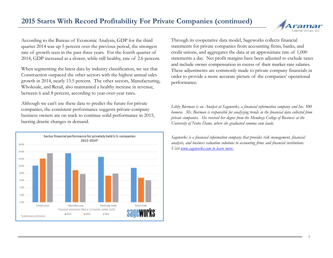

According to the Bureau of Economic Analysis, GDP for the third quarter 2014 was up 5 percent over the previous period, the strongest rate of growth seen in the past three years. For the fourth quarter of 2014, GDP increased at a slower, while still healthy, rate of 2.6 percent.

When segmenting the latest data by industry classification, we see that Construction outpaced the other sectors with the highest annual sales growth in 2014, nearly 13.5 percent. The other sectors, Manufacturing, Wholesale, and Retail, also maintained a healthy increase in revenue, between 6 and 8 percent, according to year-over-year rates.

Although we can't use these data to predict the future for private companies, the consistent performance suggests private-company business owners are on track to continue solid performance in 2015, barring drastic changes in demand.



Through its cooperative data model, Sageworks collects financial statements for private companies from accounting firms, banks, and credit unions, and aggregates the data at an approximate rate of 1,000 statements a day. Net profit margins have been adjusted to exclude taxes and include owner compensation in excess of their market-rate salaries. These adjustments are commonly made to private company financials in order to provide a more accurate picture of the companies' operational performance.

*Libby Bierman is an Analyst at Sageworks, a financial information company and Inc. 500 honoree. Ms. Bierman is responsible for analyzing trends in the financial data collected from private companies. She received her degree from the Mendoza College of Business at the University of Notre Dame, where she graduated summa cum laude.*

*Sageworks is a financial information company that provides risk management, financial analysis, and business valuation solutions to accounting firms and financial institutions. Visit www.sageworks.com to learn more.*